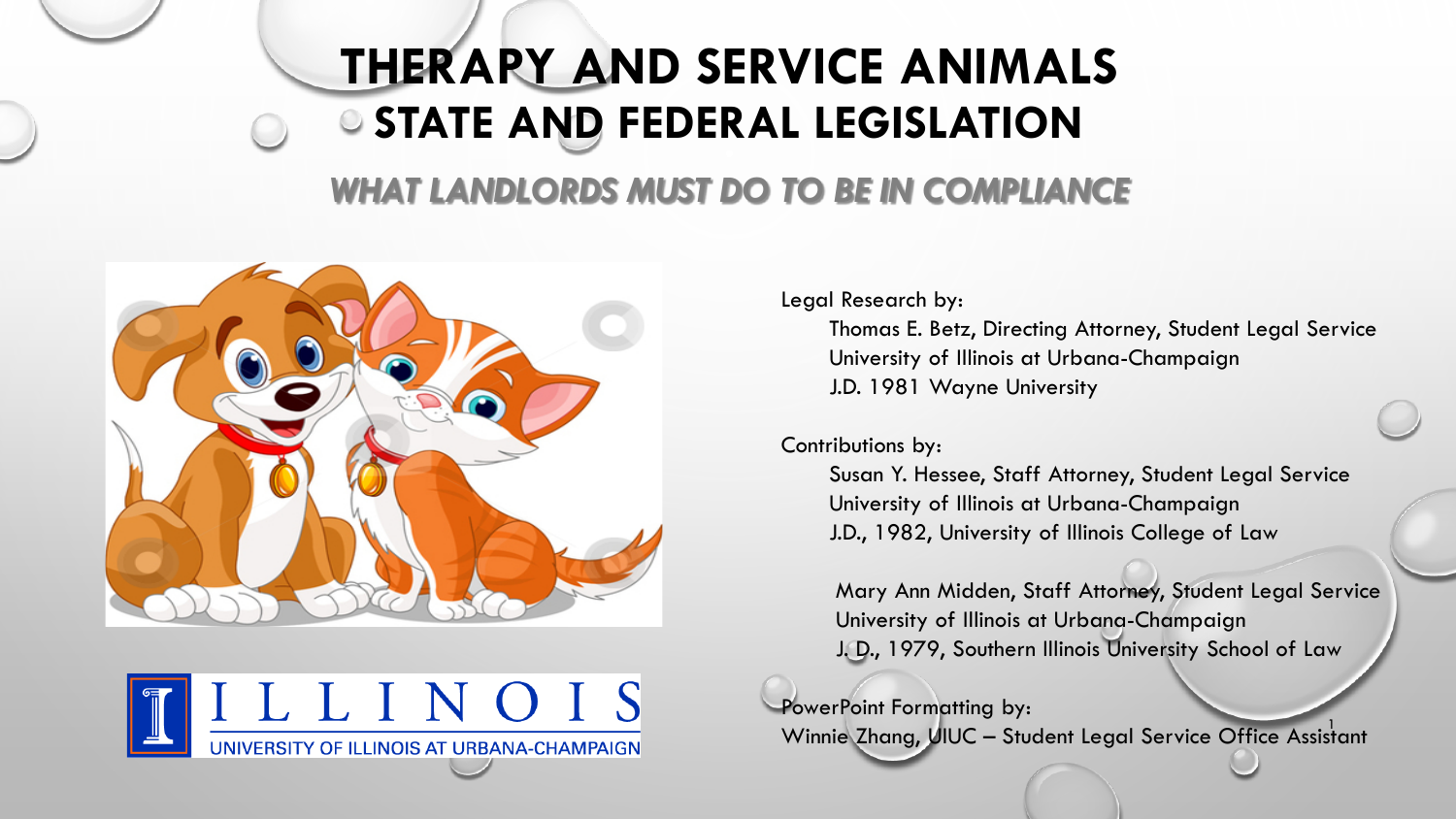# **THERAPY AND SERVICE ANIMALS STATE AND FEDERAL LEGISLATION**

#### *WHAT LANDLORDS MUST DO TO BE IN COMPLIANCE*





Legal Research by:

Thomas E. Betz, Directing Attorney, Student Legal Service University of Illinois at Urbana-Champaign J.D. 1981 Wayne University

Contributions by:

Susan Y. Hessee, Staff Attorney, Student Legal Service University of Illinois at Urbana-Champaign J.D., 1982, University of Illinois College of Law

Mary Ann Midden, Staff Attorney, Student Legal Service University of Illinois at Urbana-Champaign J. D., 1979, Southern Illinois University School of Law

PowerPoint Formatting by: Winnie Zhang, UIUC - Student Legal Service Office Assistant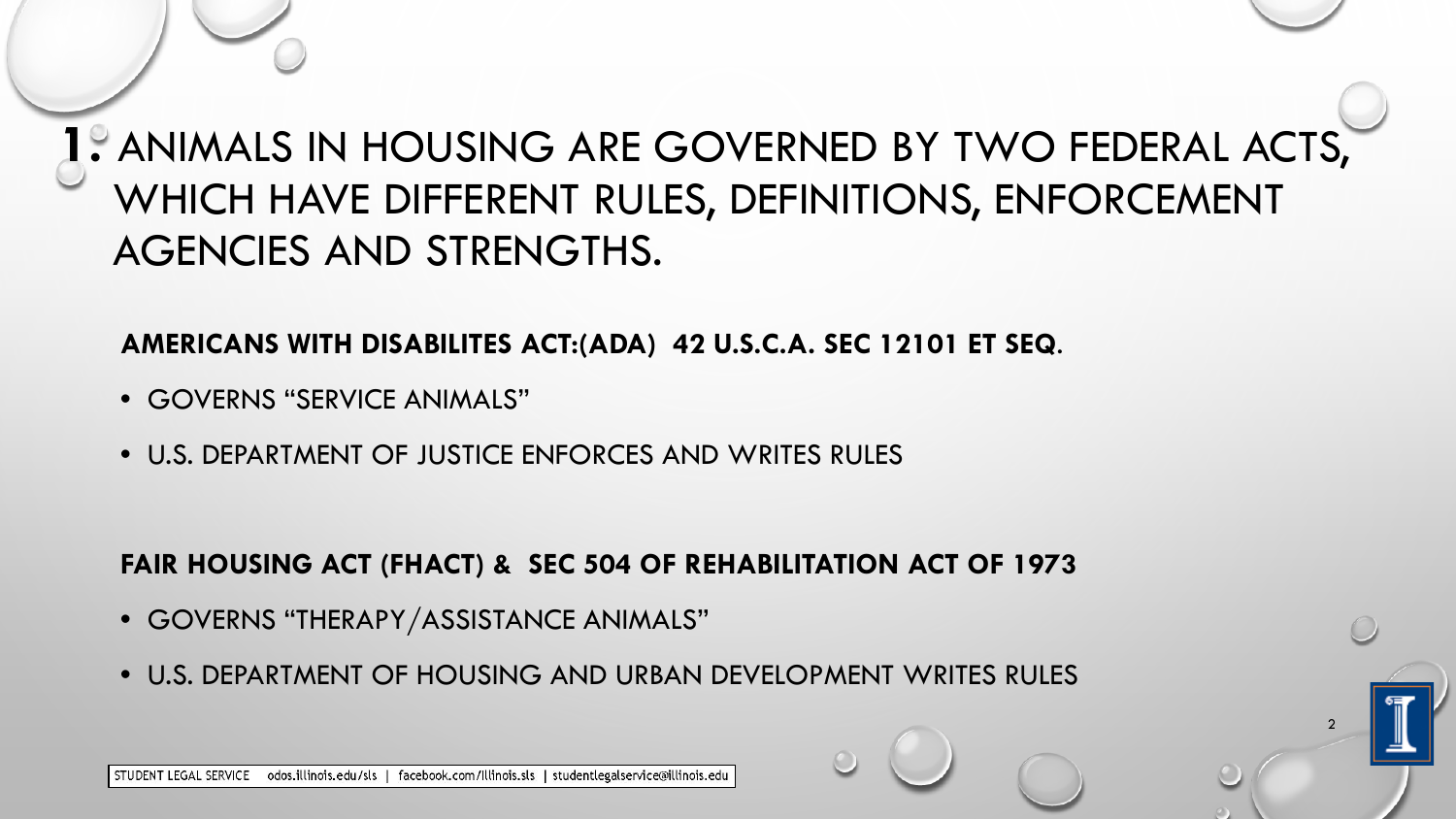# **1.** ANIMALS IN HOUSING ARE GOVERNED BY TWO FEDERAL ACTS, WHICH HAVE DIFFERENT RULES, DEFINITIONS, ENFORCEMENT AGENCIES AND STRENGTHS.

2

#### **AMERICANS WITH DISABILITES ACT:(ADA) 42 U.S.C.A. SEC 12101 ET SEQ**.

- GOVERNS "SERVICE ANIMALS"
- U.S. DEPARTMENT OF JUSTICE ENFORCES AND WRITES RULES

#### **FAIR HOUSING ACT (FHACT) & SEC 504 OF REHABILITATION ACT OF 1973**

- GOVERNS "THERAPY/ASSISTANCE ANIMALS"
- U.S. DEPARTMENT OF HOUSING AND URBAN DEVELOPMENT WRITES RULES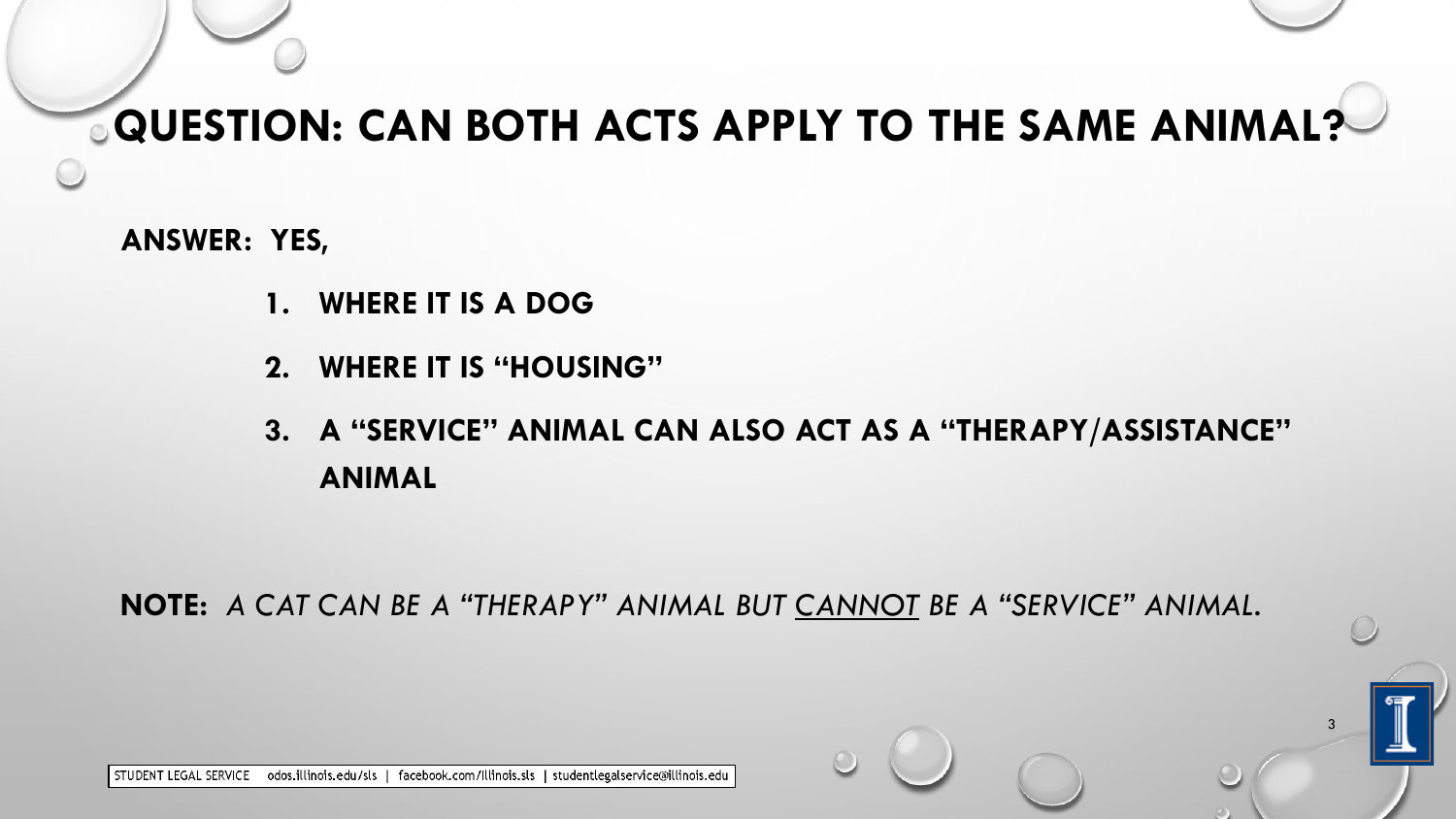### **EQUESTION: CAN BOTH ACTS APPLY TO THE SAME ANIMAL?**

**ANSWER: YES,** 

- **1. WHERE IT IS A DOG**
- **2. WHERE IT IS "HOUSING"**
- **3. A "SERVICE" ANIMAL CAN ALSO ACT AS A "THERAPY/ASSISTANCE" ANIMAL**

3

**NOTE:** *A CAT CAN BE A "THERAPY" ANIMAL BUT CANNOT BE A "SERVICE" ANIMAL.*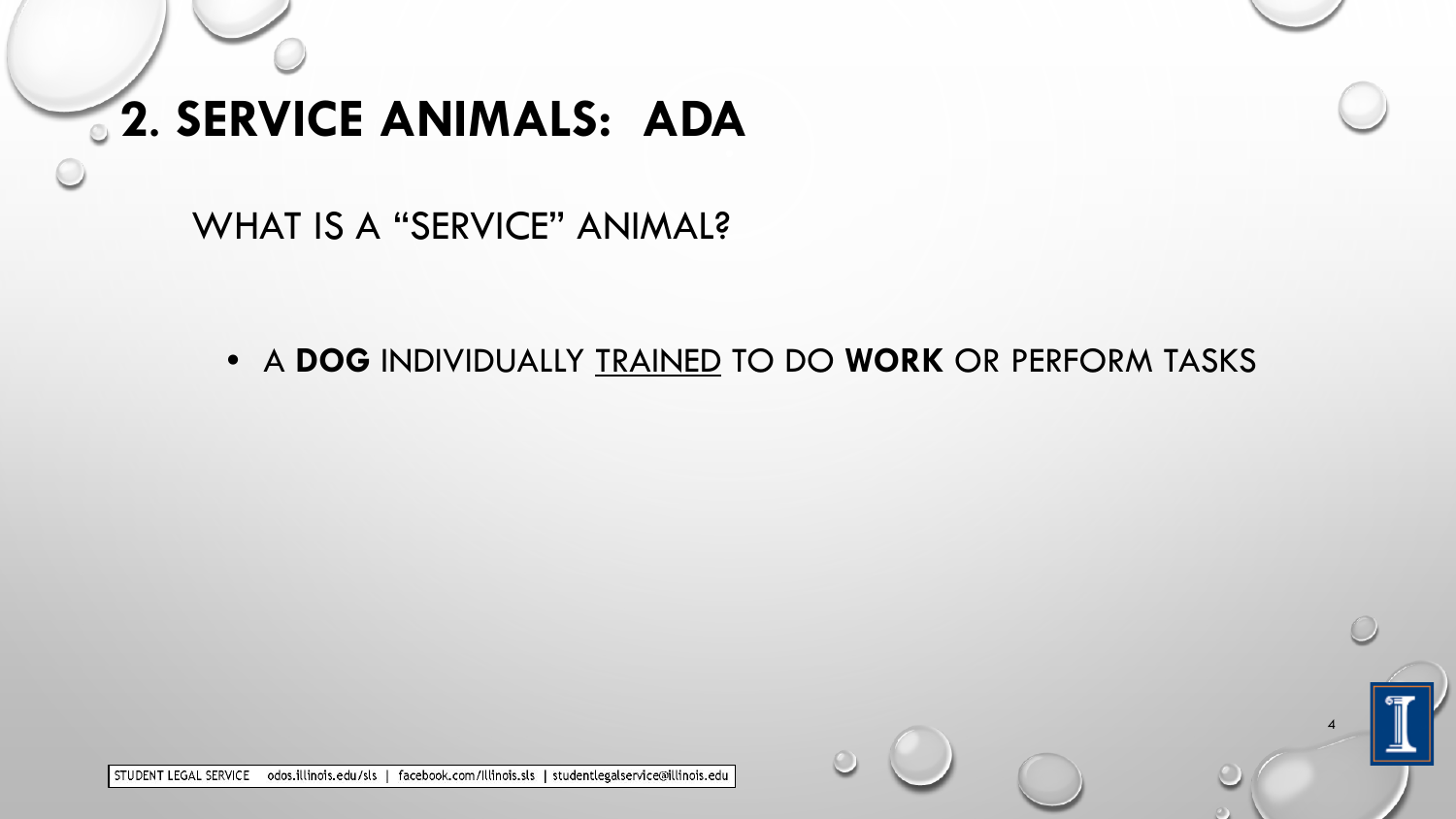# **2**. **SERVICE ANIMALS: ADA**

WHAT IS A "SERVICE" ANIMAL?

#### • A **DOG** INDIVIDUALLY TRAINED TO DO **WORK** OR PERFORM TASKS

4

STUDENT LEGAL SERVICE odos.illinois.edu/sls | facebook.com/Illinois.sls | studentlegalservice@illinois.edu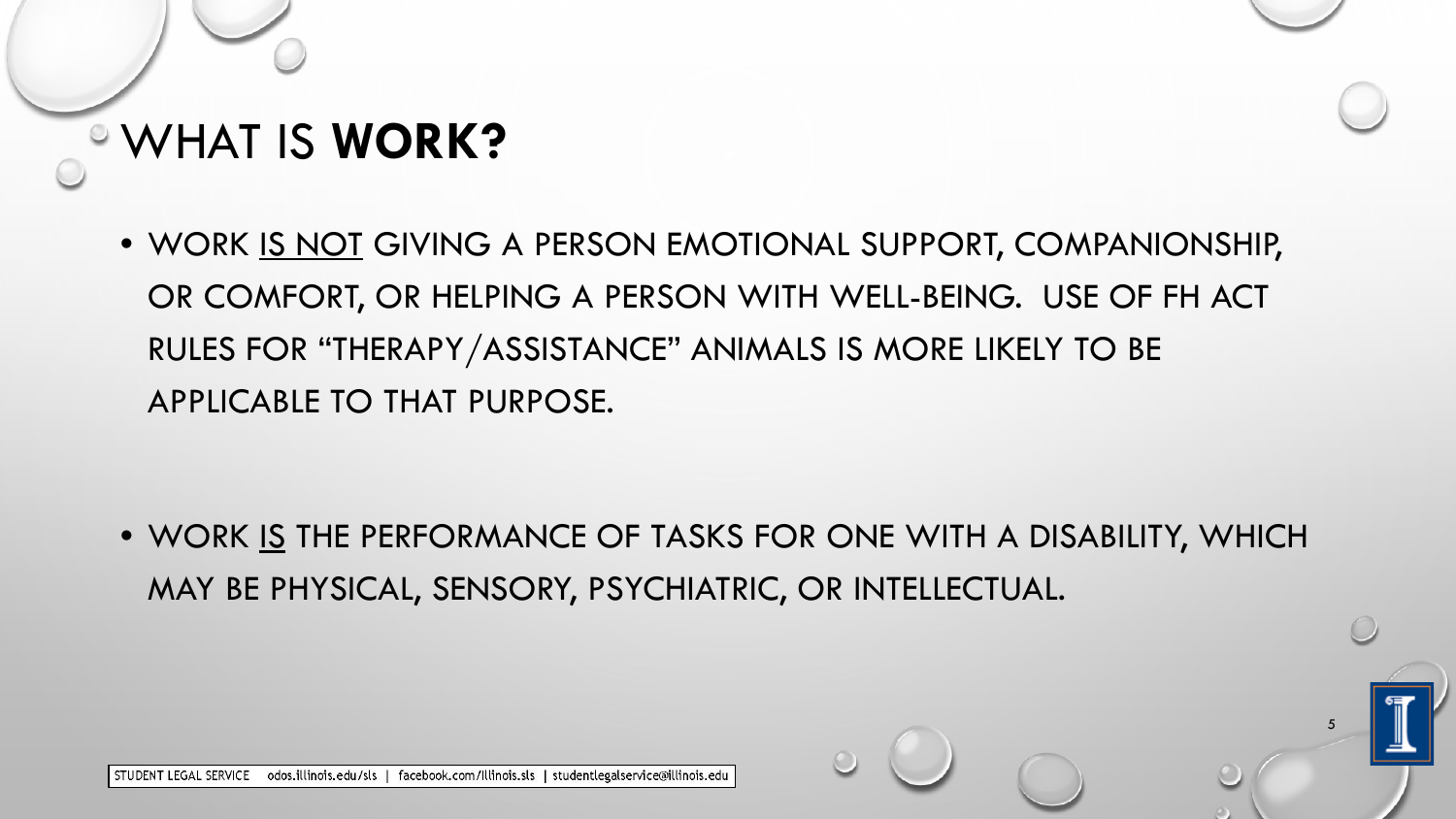

• WORK IS NOT GIVING A PERSON EMOTIONAL SUPPORT, COMPANIONSHIP, OR COMFORT, OR HELPING A PERSON WITH WELL-BEING. USE OF FH ACT RULES FOR "THERAPY/ASSISTANCE" ANIMALS IS MORE LIKELY TO BE APPLICABLE TO THAT PURPOSE.

• WORK IS THE PERFORMANCE OF TASKS FOR ONE WITH A DISABILITY, WHICH MAY BE PHYSICAL, SENSORY, PSYCHIATRIC, OR INTELLECTUAL.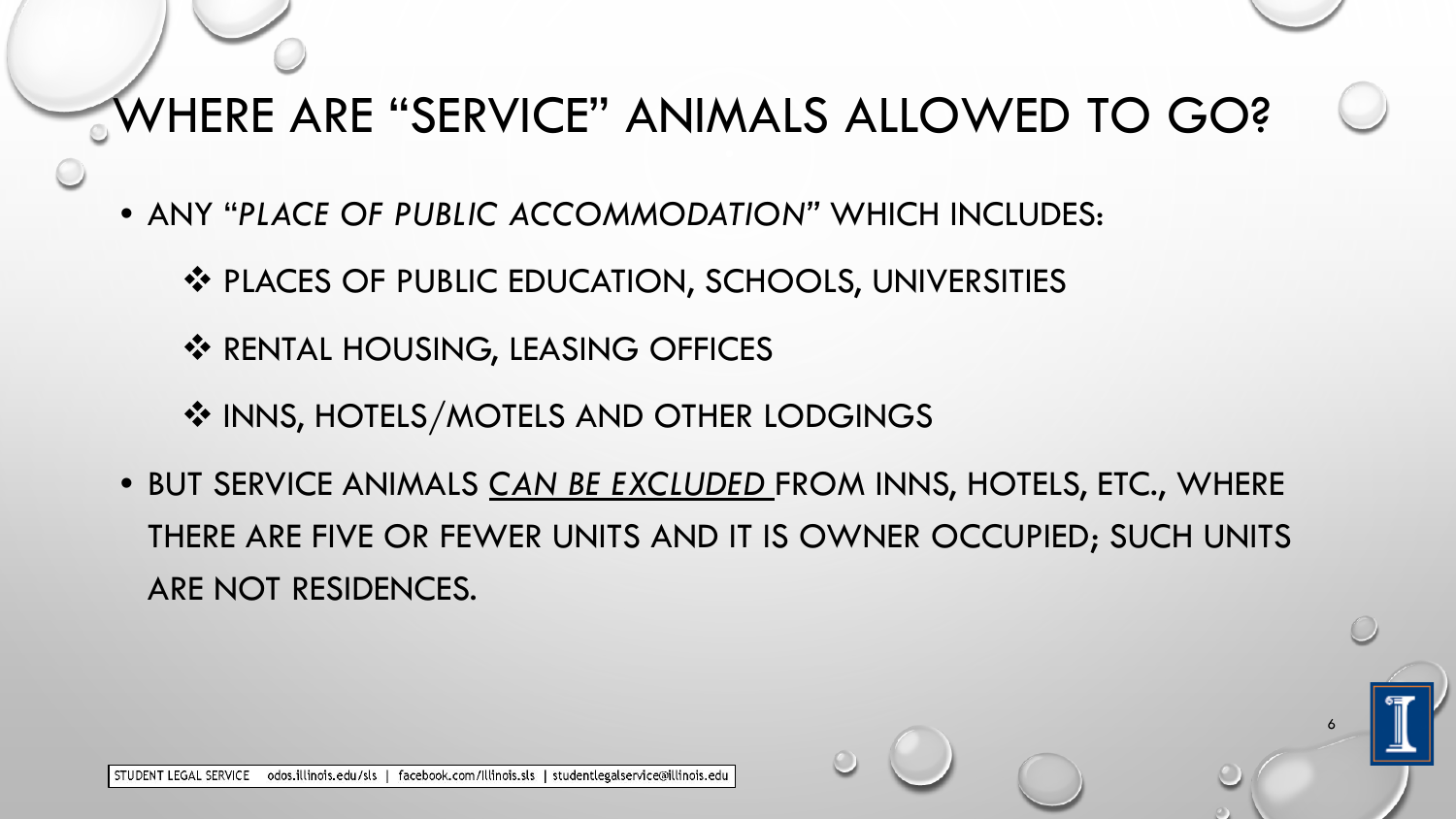# WHERE ARE "SERVICE" ANIMALS ALLOWED TO GO?

- ANY "*PLACE OF PUBLIC ACCOMMODATION"* WHICH INCLUDES:
	- ❖ PLACES OF PUBLIC EDUCATION, SCHOOLS, UNIVERSITIES
	- **❖ RENTAL HOUSING, LEASING OFFICES**
	- ❖ INNS, HOTELS/MOTELS AND OTHER LODGINGS
- BUT SERVICE ANIMALS *CAN BE EXCLUDED* FROM INNS, HOTELS, ETC., WHERE THERE ARE FIVE OR FEWER UNITS AND IT IS OWNER OCCUPIED; SUCH UNITS ARE NOT RESIDENCES.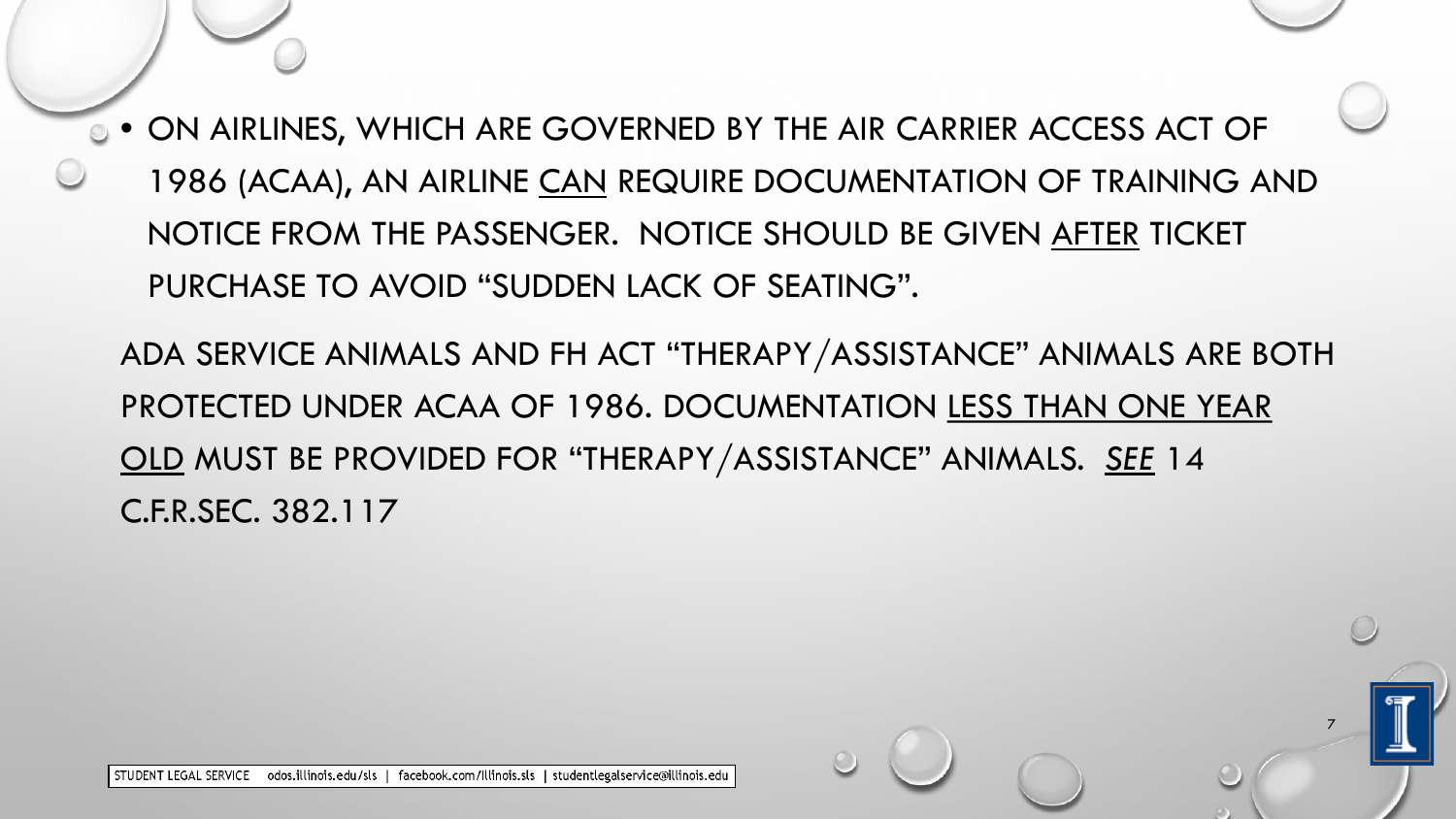**• ON AIRLINES, WHICH ARE GOVERNED BY THE AIR CARRIER ACCESS ACT OF** 1986 (ACAA), AN AIRLINE CAN REQUIRE DOCUMENTATION OF TRAINING AND NOTICE FROM THE PASSENGER. NOTICE SHOULD BE GIVEN AFTER TICKET PURCHASE TO AVOID "SUDDEN LACK OF SEATING".

ADA SERVICE ANIMALS AND FH ACT "THERAPY/ASSISTANCE" ANIMALS ARE BOTH PROTECTED UNDER ACAA OF 1986. DOCUMENTATION LESS THAN ONE YEAR OLD MUST BE PROVIDED FOR "THERAPY/ASSISTANCE" ANIMALS. *SEE* 14 C.F.R.SEC. 382.117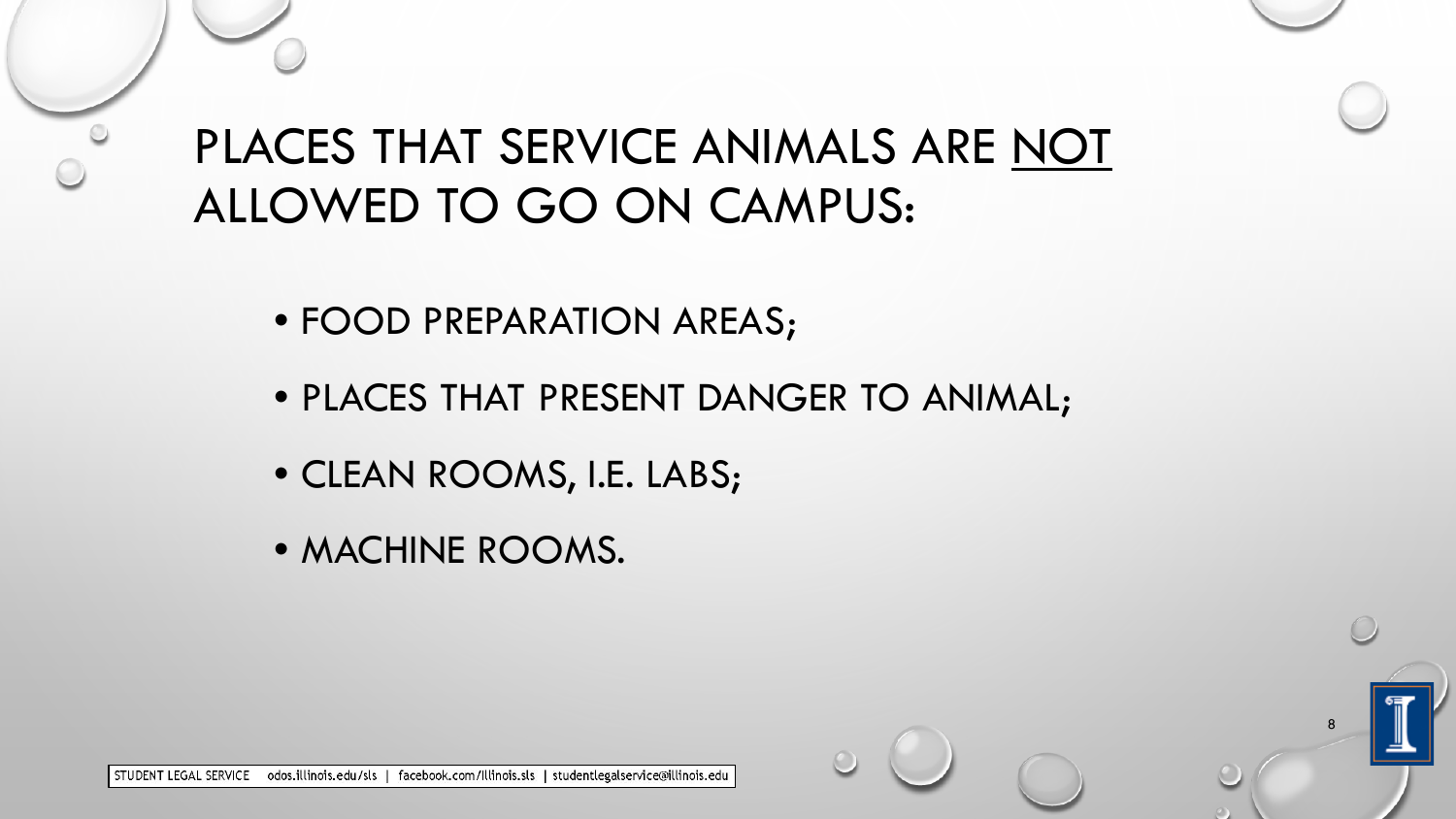PLACES THAT SERVICE ANIMALS ARE NOT ALLOWED TO GO ON CAMPUS:

- FOOD PREPARATION AREAS;
- PLACES THAT PRESENT DANGER TO ANIMAL;

8

- CLEAN ROOMS, I.E. LABS;
- MACHINE ROOMS.

STUDENT LEGAL SERVICE odos.illinois.edu/sls | facebook.com/Illinois.sls | studentlegalservice@illinois.edu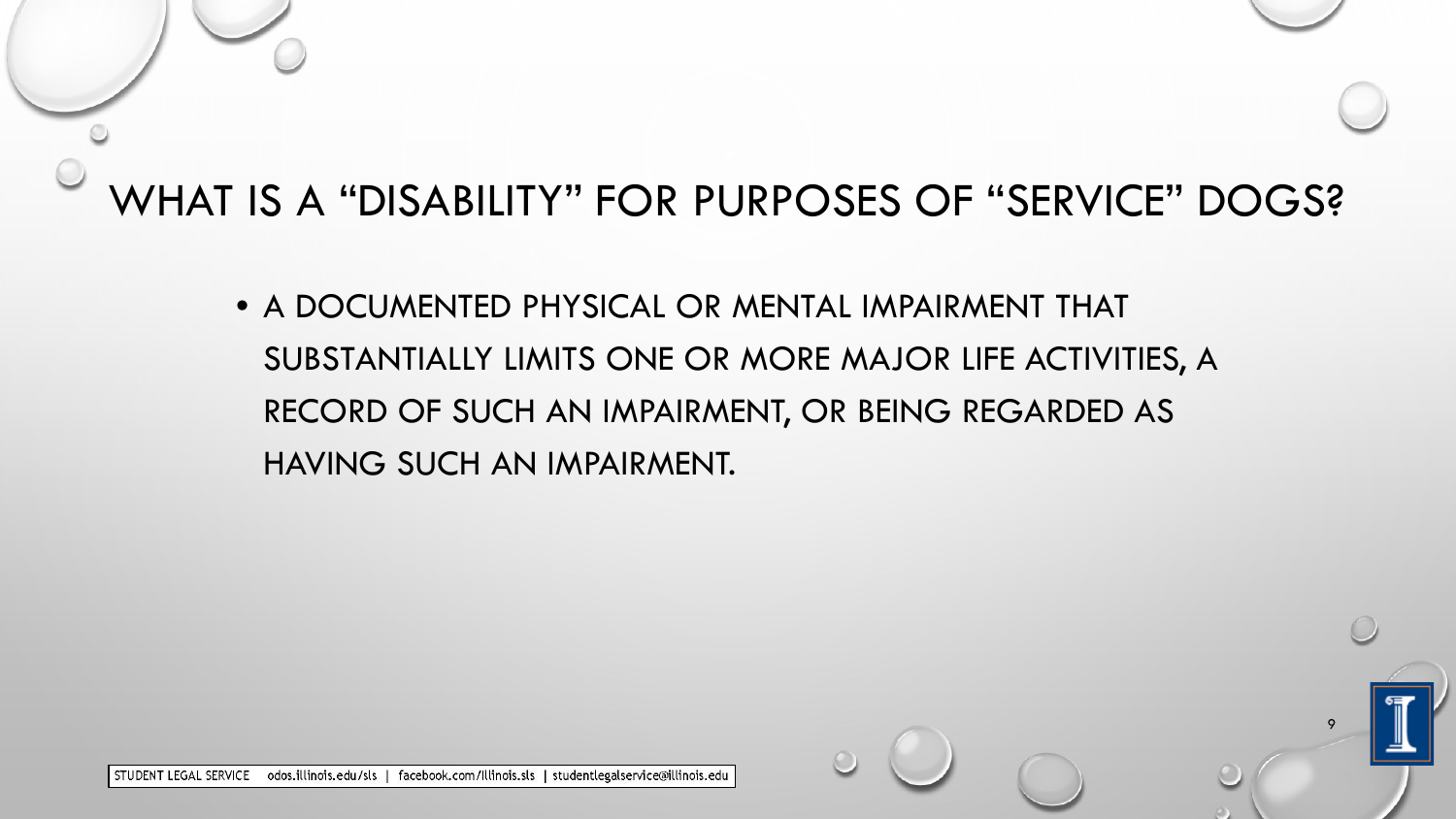# WHAT IS A "DISABILITY" FOR PURPOSES OF "SERVICE" DOGS?

• A DOCUMENTED PHYSICAL OR MENTAL IMPAIRMENT THAT SUBSTANTIALLY LIMITS ONE OR MORE MAJOR LIFE ACTIVITIES, A RECORD OF SUCH AN IMPAIRMENT, OR BEING REGARDED AS HAVING SUCH AN IMPAIRMENT.

9

STUDENT LEGAL SERVICE odos.illinois.edu/sls | facebook.com/Illinois.sls | studentlegalservice@illinois.edu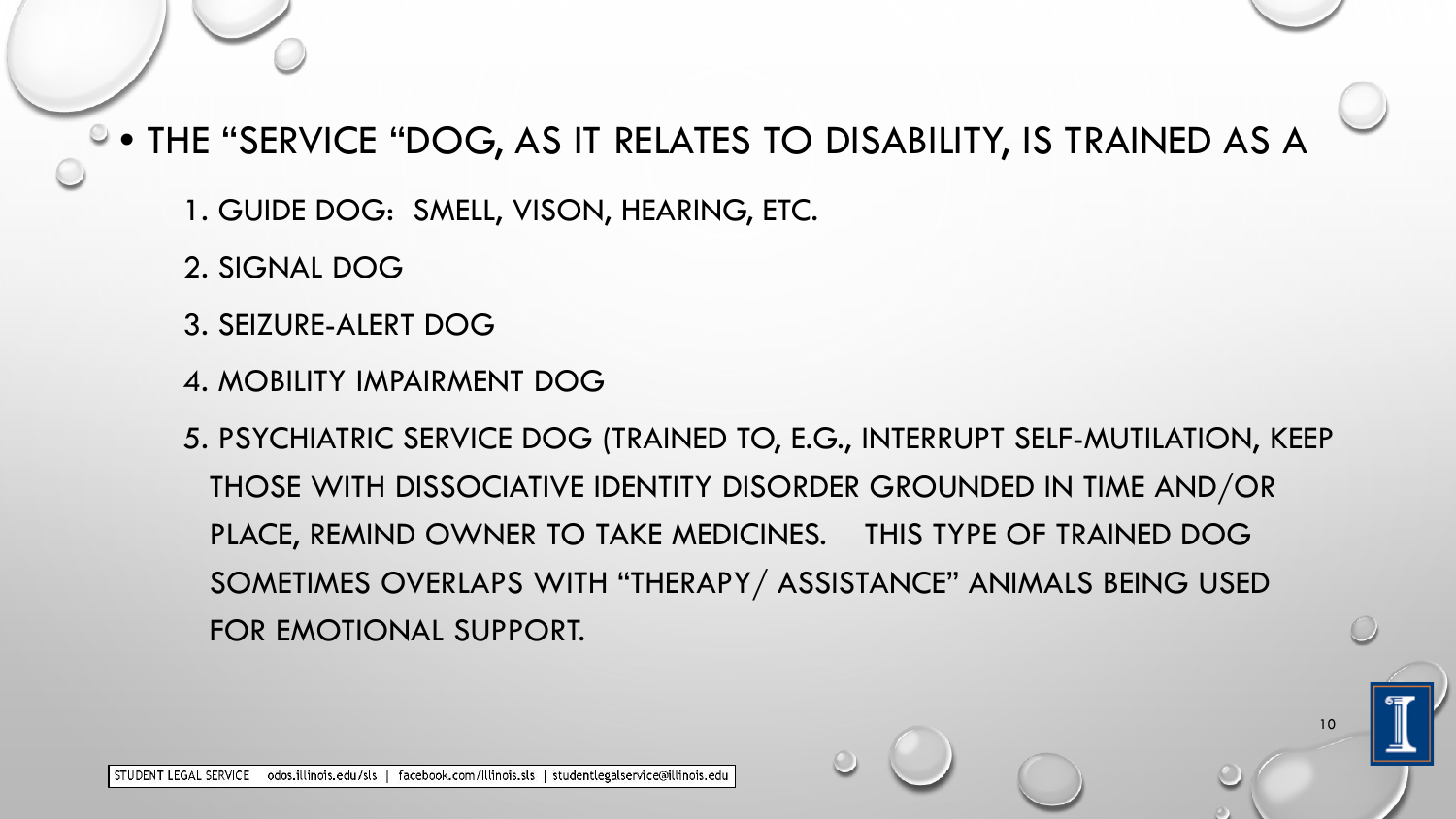• THE "SERVICE "DOG, AS IT RELATES TO DISABILITY, IS TRAINED AS A

- 1. GUIDE DOG: SMELL, VISON, HEARING, ETC.
- 2. SIGNAL DOG
- 3. SEIZURE-ALERT DOG
- 4. MOBILITY IMPAIRMENT DOG

5. PSYCHIATRIC SERVICE DOG (TRAINED TO, E.G., INTERRUPT SELF-MUTILATION, KEEP THOSE WITH DISSOCIATIVE IDENTITY DISORDER GROUNDED IN TIME AND/OR PLACE, REMIND OWNER TO TAKE MEDICINES. THIS TYPE OF TRAINED DOG SOMETIMES OVERLAPS WITH "THERAPY/ ASSISTANCE" ANIMALS BEING USED FOR EMOTIONAL SUPPORT.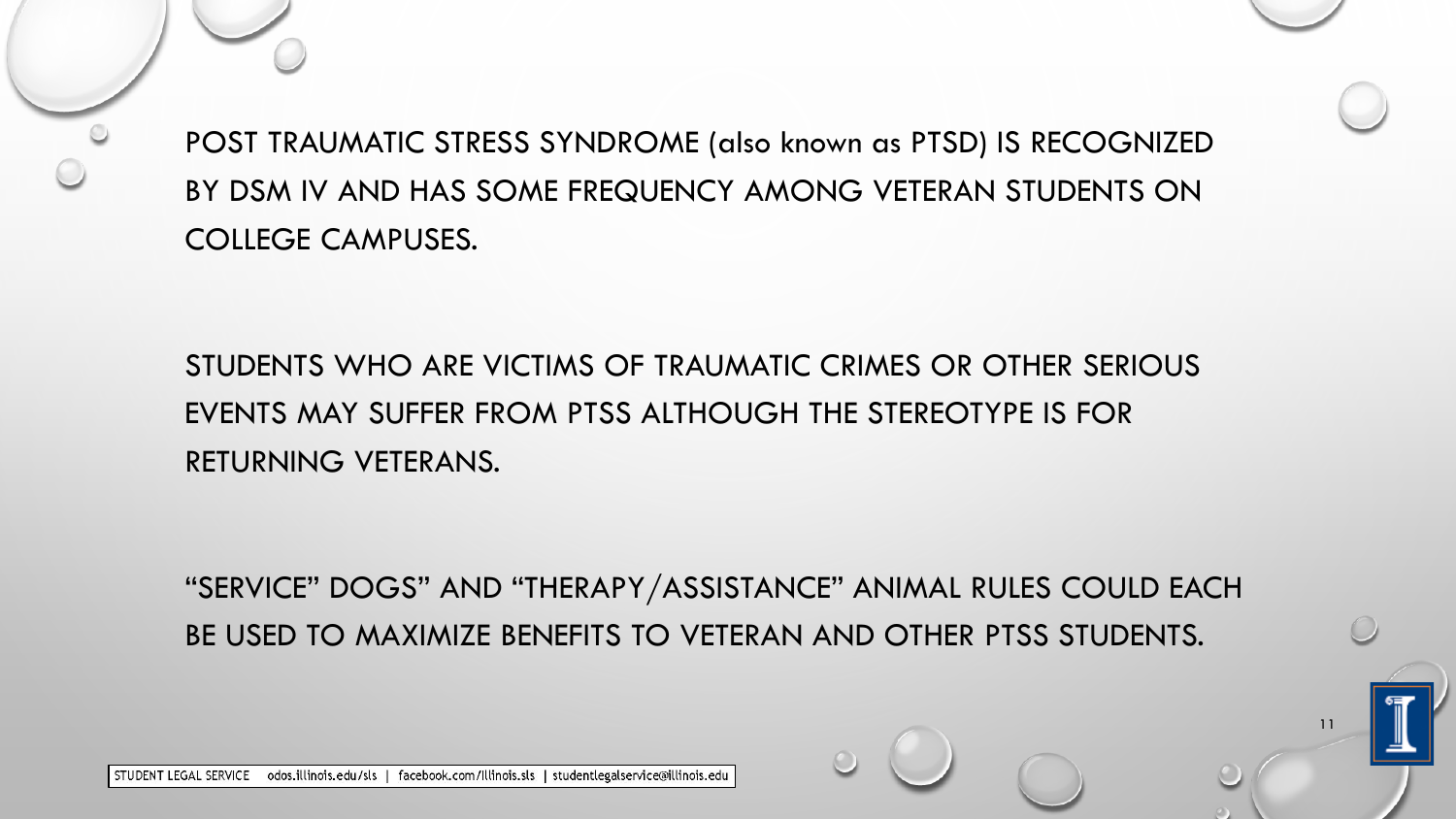POST TRAUMATIC STRESS SYNDROME (also known as PTSD) IS RECOGNIZED BY DSM IV AND HAS SOME FREQUENCY AMONG VETERAN STUDENTS ON COLLEGE CAMPUSES.

STUDENTS WHO ARE VICTIMS OF TRAUMATIC CRIMES OR OTHER SERIOUS EVENTS MAY SUFFER FROM PTSS ALTHOUGH THE STEREOTYPE IS FOR RETURNING VETERANS.

"SERVICE" DOGS" AND "THERAPY/ASSISTANCE" ANIMAL RULES COULD EACH BE USED TO MAXIMIZE BENEFITS TO VETERAN AND OTHER PTSS STUDENTS.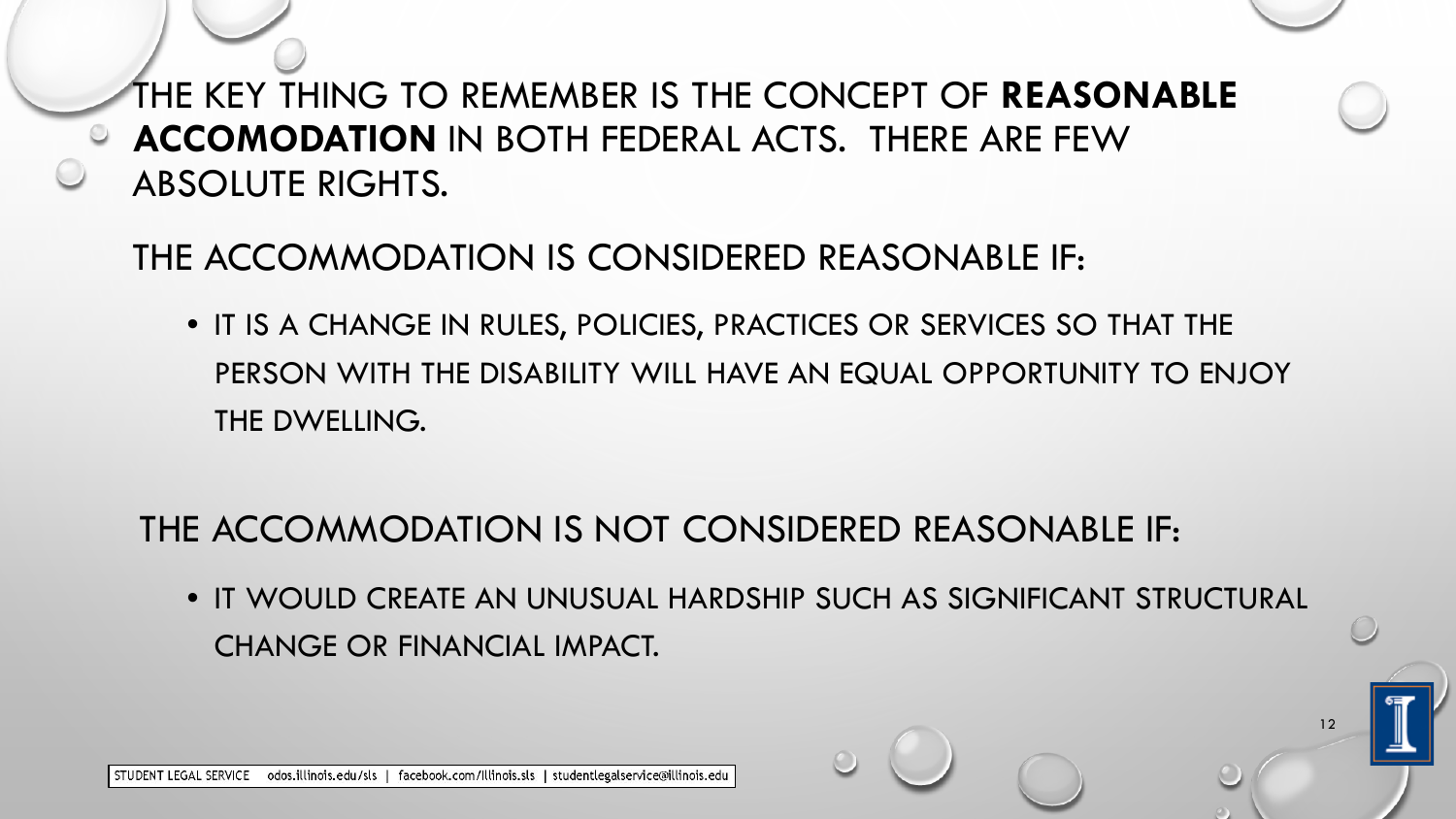THE KEY THING TO REMEMBER IS THE CONCEPT OF **REASONABLE ACCOMODATION** IN BOTH FEDERAL ACTS. THERE ARE FEW ABSOLUTE RIGHTS.

THE ACCOMMODATION IS CONSIDERED REASONABLE IF:

• IT IS A CHANGE IN RULES, POLICIES, PRACTICES OR SERVICES SO THAT THE PERSON WITH THE DISABILITY WILL HAVE AN EQUAL OPPORTUNITY TO ENJOY THE DWELLING.

#### THE ACCOMMODATION IS NOT CONSIDERED REASONABLE IF:

• IT WOULD CREATE AN UNUSUAL HARDSHIP SUCH AS SIGNIFICANT STRUCTURAL CHANGE OR FINANCIAL IMPACT.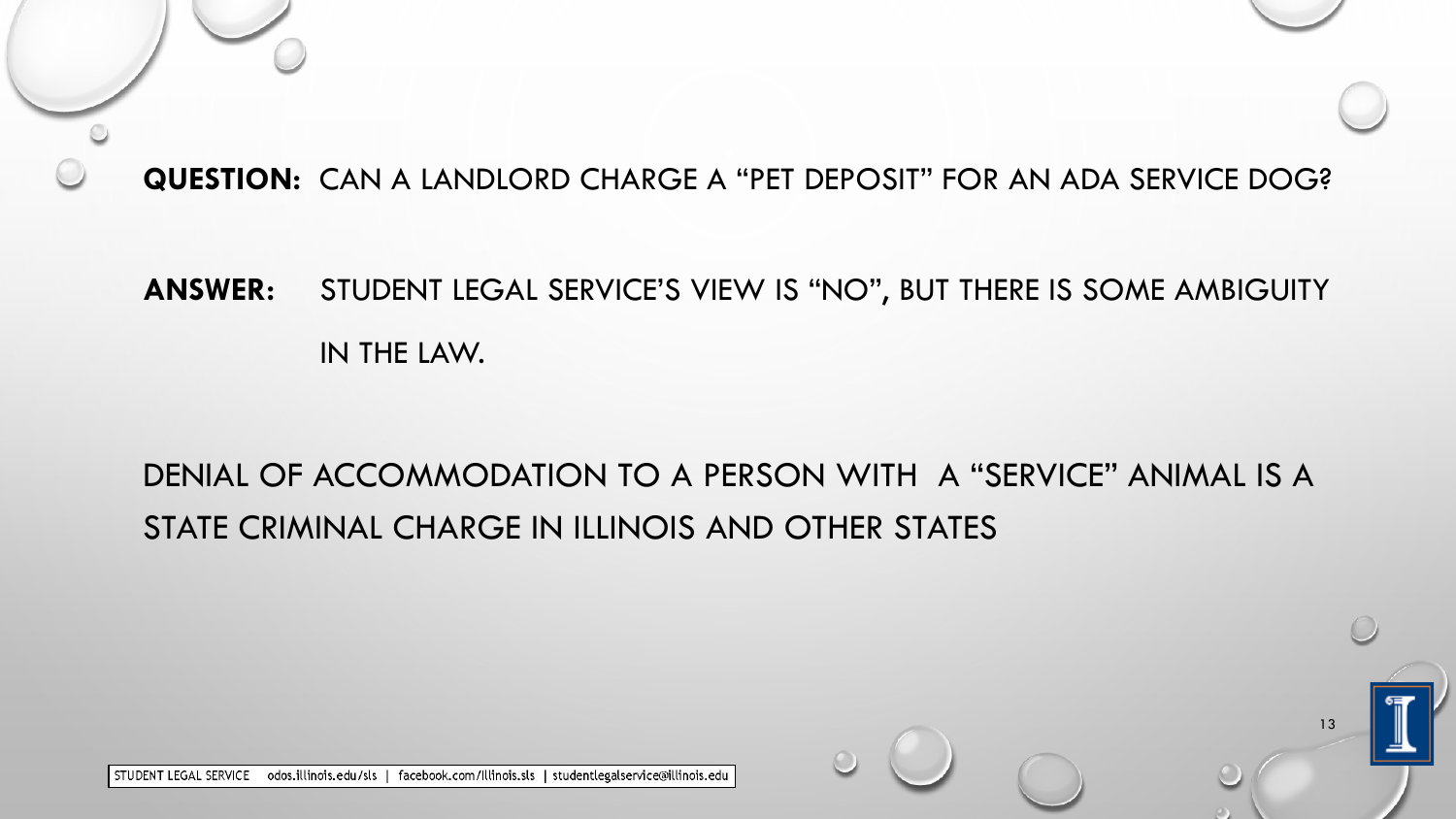#### **QUESTION:** CAN A LANDLORD CHARGE A "PET DEPOSIT" FOR AN ADA SERVICE DOG?

### **ANSWER:** STUDENT LEGAL SERVICE'S VIEW IS "NO", BUT THERE IS SOME AMBIGUITY IN THE LAW.

### DENIAL OF ACCOMMODATION TO A PERSON WITH A "SERVICE" ANIMAL IS A STATE CRIMINAL CHARGE IN ILLINOIS AND OTHER STATES

13

STUDENT LEGAL SERVICE odos.illinois.edu/sls | facebook.com/Illinois.sls | studentlegalservice@illinois.edu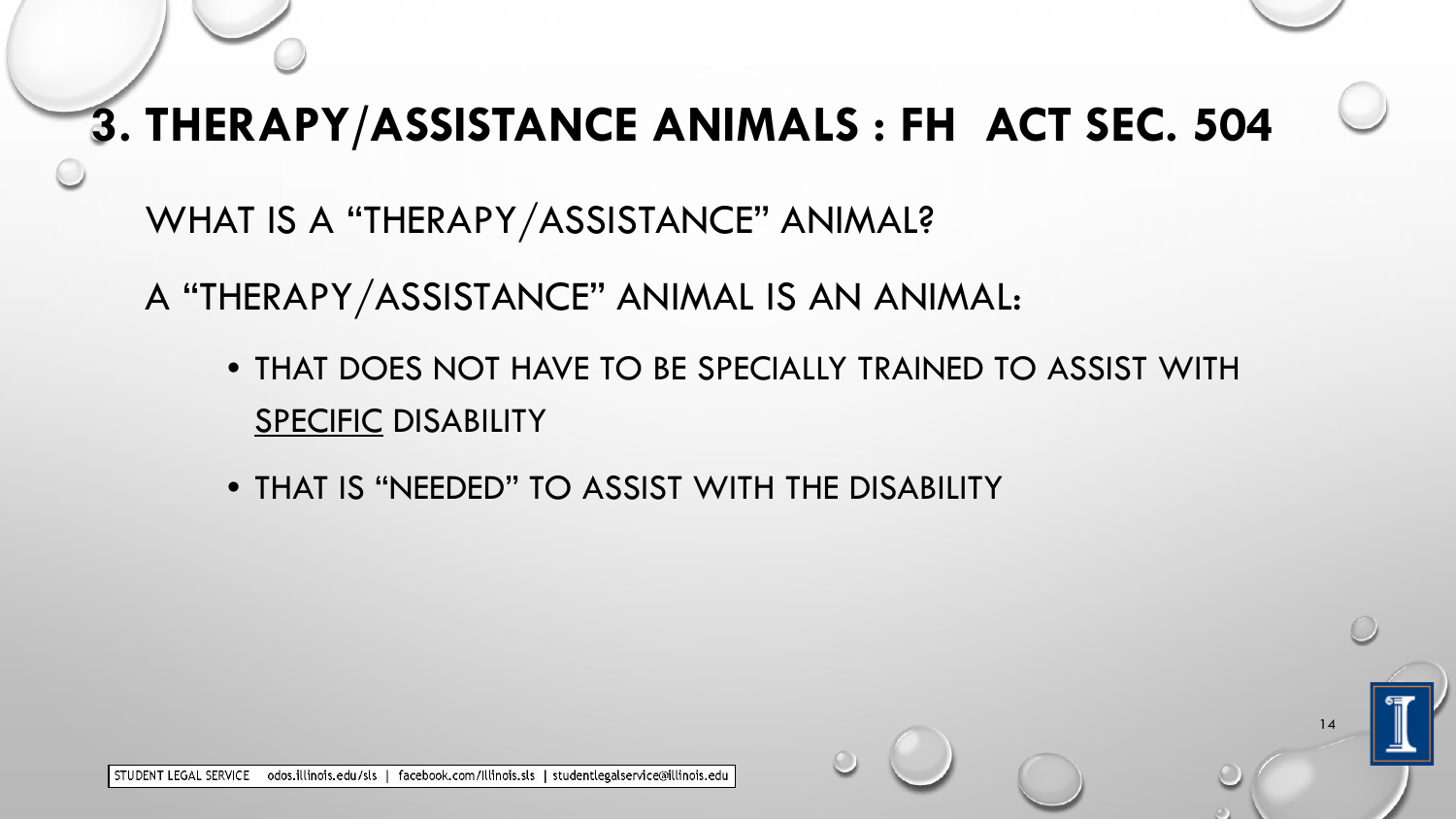# **3. THERAPY/ASSISTANCE ANIMALS : FH ACT SEC. 504**

WHAT IS A "THERAPY/ASSISTANCE" ANIMAL?

A "THERAPY/ASSISTANCE" ANIMAL IS AN ANIMAL:

• THAT DOES NOT HAVE TO BE SPECIALLY TRAINED TO ASSIST WITH SPECIFIC DISABILITY

14

• THAT IS "NEEDED" TO ASSIST WITH THE DISABILITY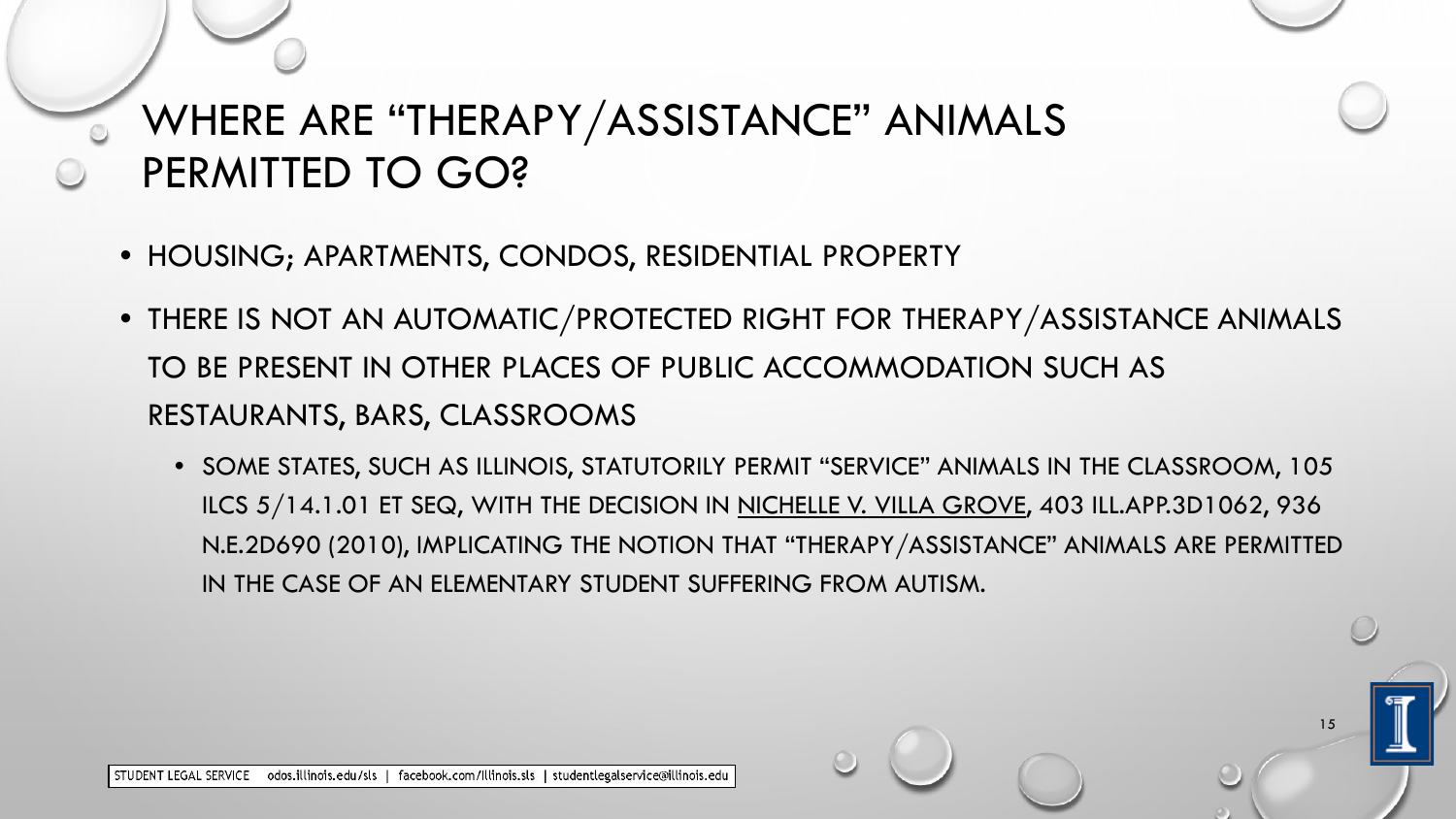### WHERE ARE "THERAPY/ASSISTANCE" ANIMALS PERMITTED TO GO?

- HOUSING; APARTMENTS, CONDOS, RESIDENTIAL PROPERTY
- THERE IS NOT AN AUTOMATIC/PROTECTED RIGHT FOR THERAPY/ASSISTANCE ANIMALS TO BE PRESENT IN OTHER PLACES OF PUBLIC ACCOMMODATION SUCH AS RESTAURANTS, BARS, CLASSROOMS
	- SOME STATES, SUCH AS ILLINOIS, STATUTORILY PERMIT "SERVICE" ANIMALS IN THE CLASSROOM, 105 ILCS 5/14.1.01 ET SEQ, WITH THE DECISION IN NICHELLE V. VILLA GROVE, 403 ILL.APP.3D1062, 936 N.E.2D690 (2010), IMPLICATING THE NOTION THAT "THERAPY/ASSISTANCE" ANIMALS ARE PERMITTED IN THE CASE OF AN ELEMENTARY STUDENT SUFFERING FROM AUTISM.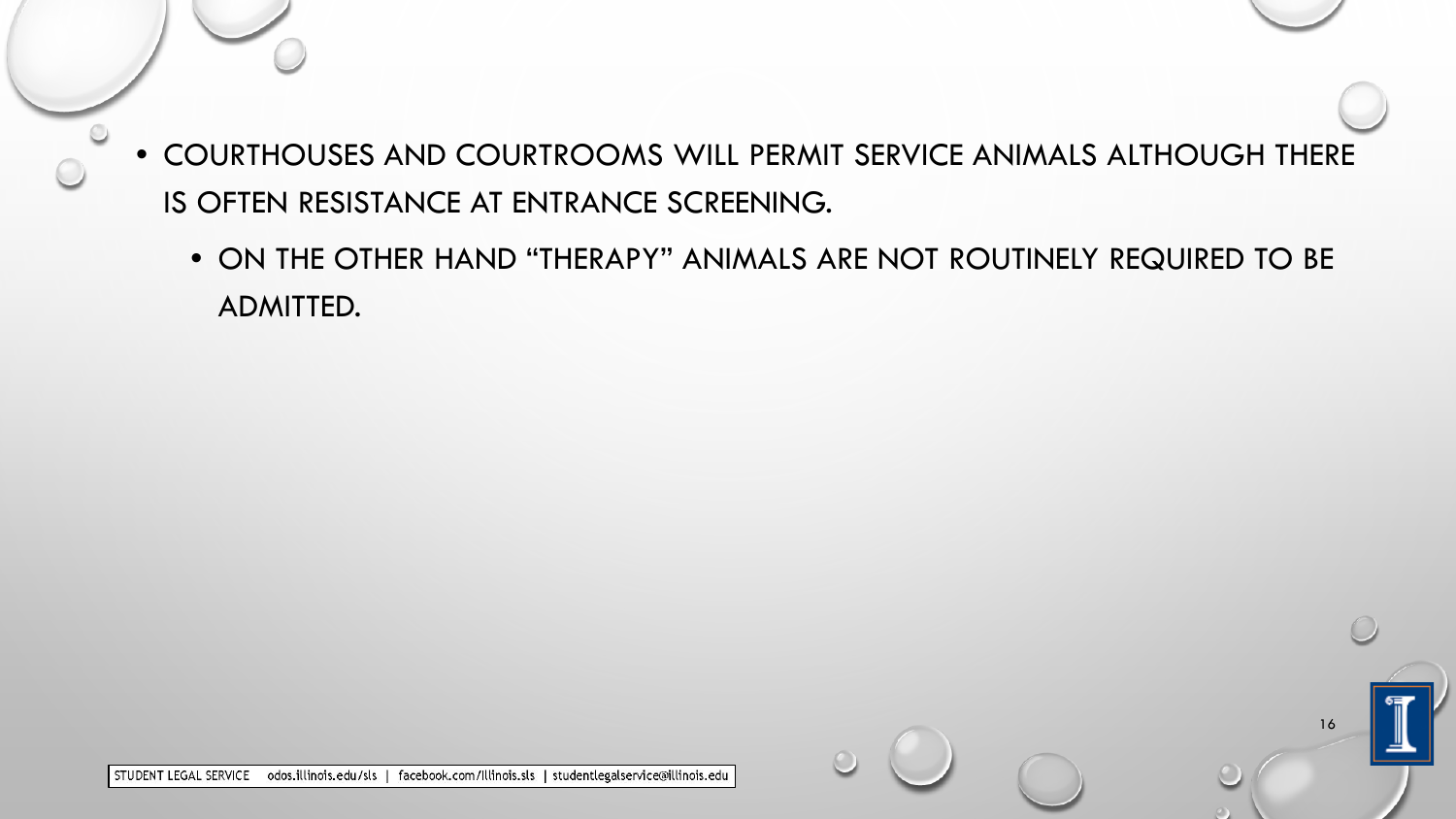- COURTHOUSES AND COURTROOMS WILL PERMIT SERVICE ANIMALS ALTHOUGH THERE IS OFTEN RESISTANCE AT ENTRANCE SCREENING.
	- ON THE OTHER HAND "THERAPY" ANIMALS ARE NOT ROUTINELY REQUIRED TO BE ADMITTED.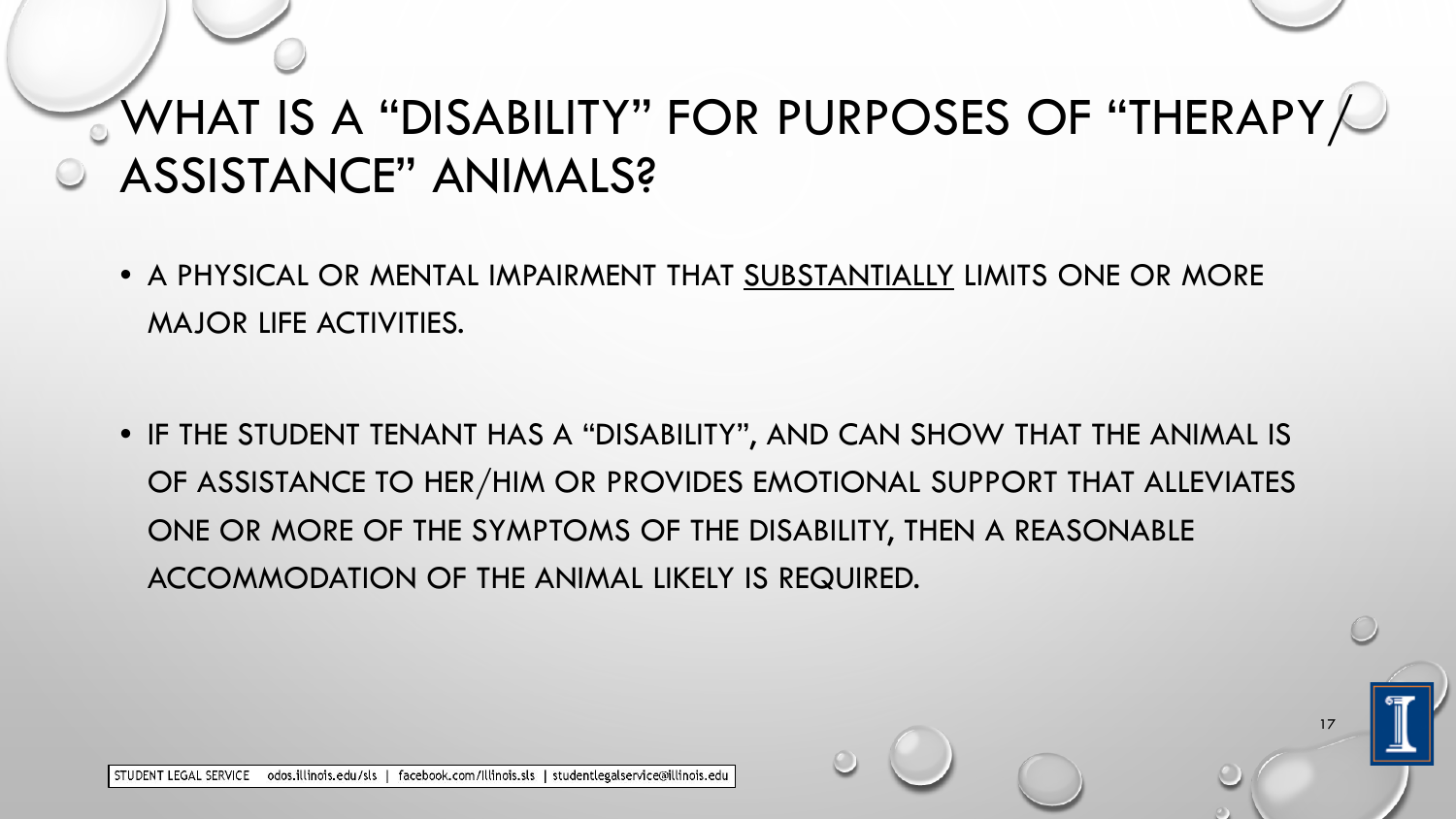# WHAT IS A "DISABILITY" FOR PURPOSES OF "THERAPY  $\bigcup$ ASSISTANCE" ANIMALS?

- A PHYSICAL OR MENTAL IMPAIRMENT THAT SUBSTANTIALLY LIMITS ONE OR MORE MAJOR LIFE ACTIVITIES.
- IF THE STUDENT TENANT HAS A "DISABILITY", AND CAN SHOW THAT THE ANIMAL IS OF ASSISTANCE TO HER/HIM OR PROVIDES EMOTIONAL SUPPORT THAT ALLEVIATES ONE OR MORE OF THE SYMPTOMS OF THE DISABILITY, THEN A REASONABLE ACCOMMODATION OF THE ANIMAL LIKELY IS REQUIRED.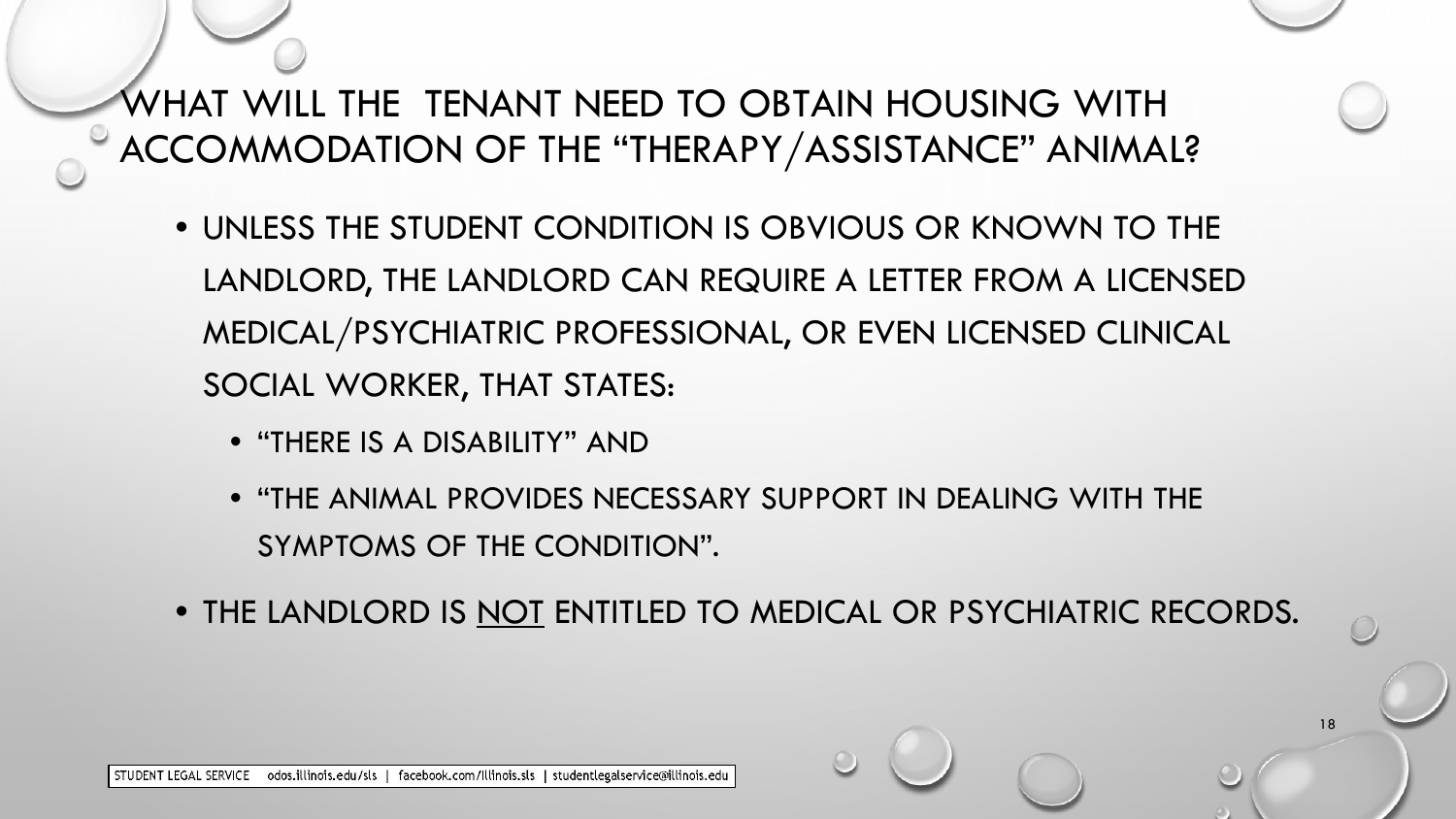WHAT WILL THE TENANT NEED TO OBTAIN HOUSING WITH ACCOMMODATION OF THE "THERAPY/ASSISTANCE" ANIMAL?

- UNLESS THE STUDENT CONDITION IS OBVIOUS OR KNOWN TO THE LANDLORD, THE LANDLORD CAN REQUIRE A LETTER FROM A LICENSED MEDICAL/PSYCHIATRIC PROFESSIONAL, OR EVEN LICENSED CLINICAL SOCIAL WORKER, THAT STATES:
	- "THERE IS A DISABILITY" AND
	- "THE ANIMAL PROVIDES NECESSARY SUPPORT IN DEALING WITH THE SYMPTOMS OF THE CONDITION".
- THE LANDLORD IS NOT ENTITLED TO MEDICAL OR PSYCHIATRIC RECORDS.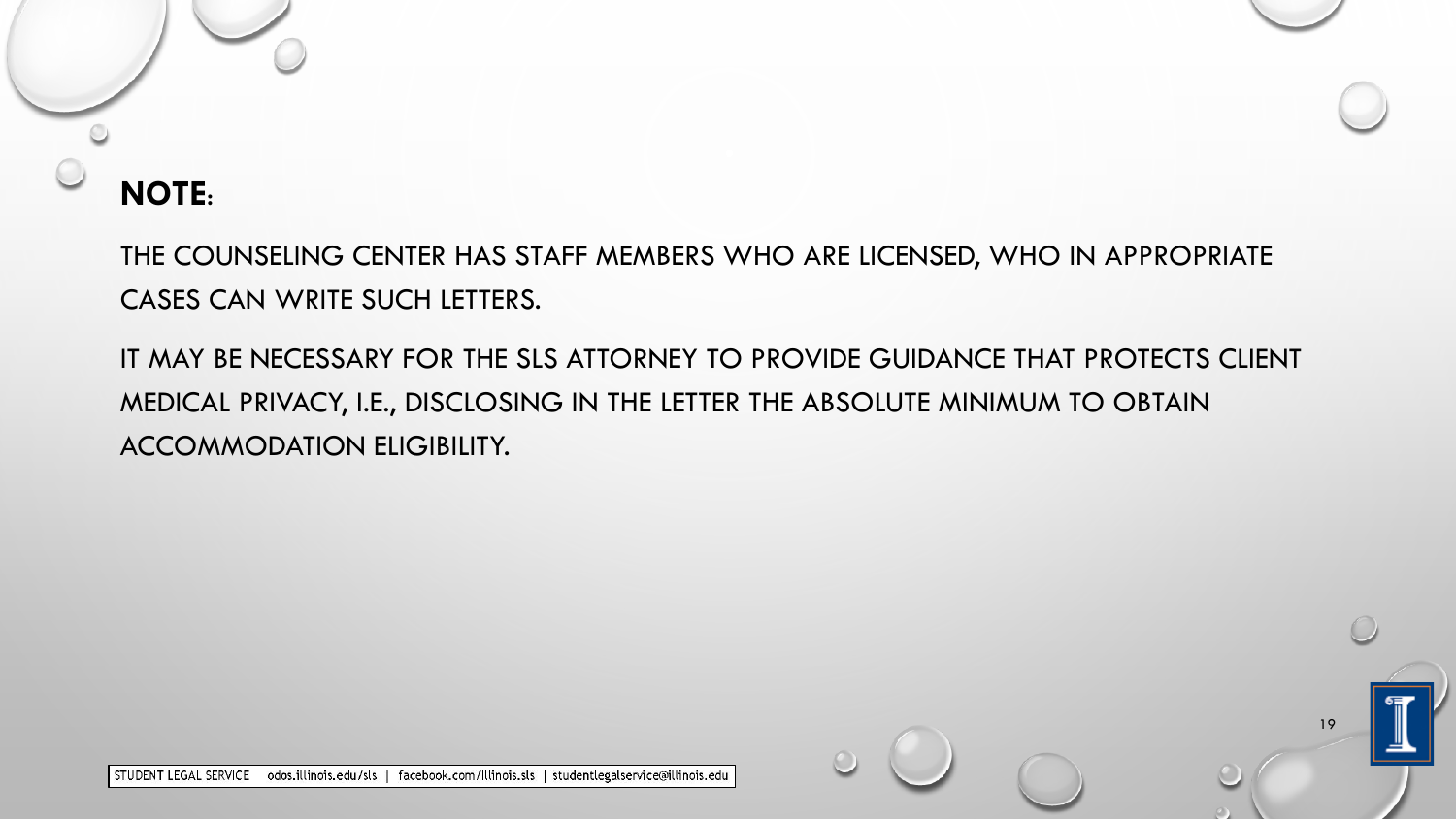#### **NOTE**:

THE COUNSELING CENTER HAS STAFF MEMBERS WHO ARE LICENSED, WHO IN APPROPRIATE CASES CAN WRITE SUCH LETTERS.

IT MAY BE NECESSARY FOR THE SLS ATTORNEY TO PROVIDE GUIDANCE THAT PROTECTS CLIENT MEDICAL PRIVACY, I.E., DISCLOSING IN THE LETTER THE ABSOLUTE MINIMUM TO OBTAIN ACCOMMODATION ELIGIBILITY.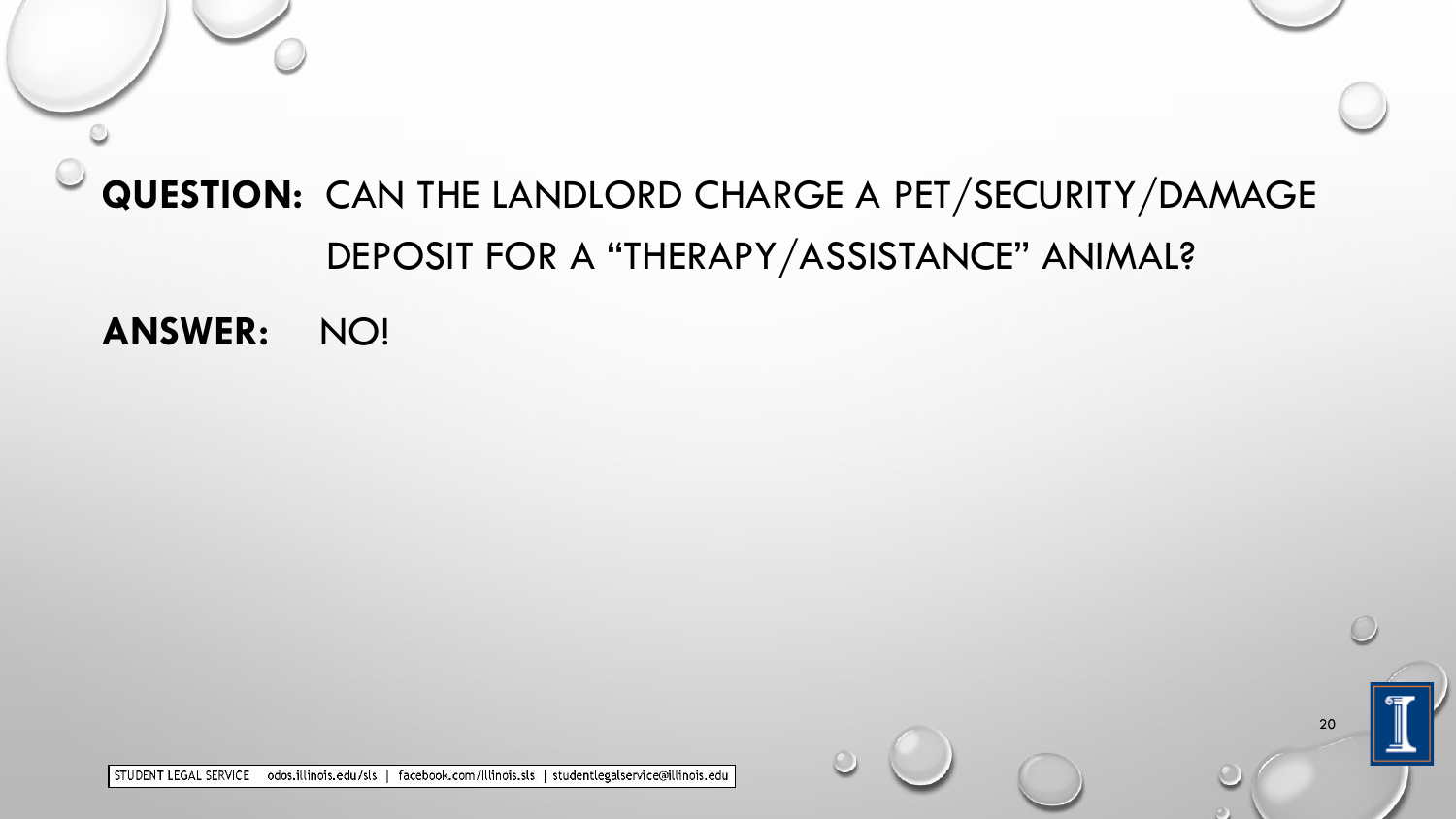# **QUESTION:** CAN THE LANDLORD CHARGE A PET/SECURITY/DAMAGE DEPOSIT FOR A "THERAPY/ASSISTANCE" ANIMAL?

20

**ANSWER:** NO!

STUDENT LEGAL SERVICE odos.illinois.edu/sls | facebook.com/Illinois.sls | studentlegalservice@illinois.edu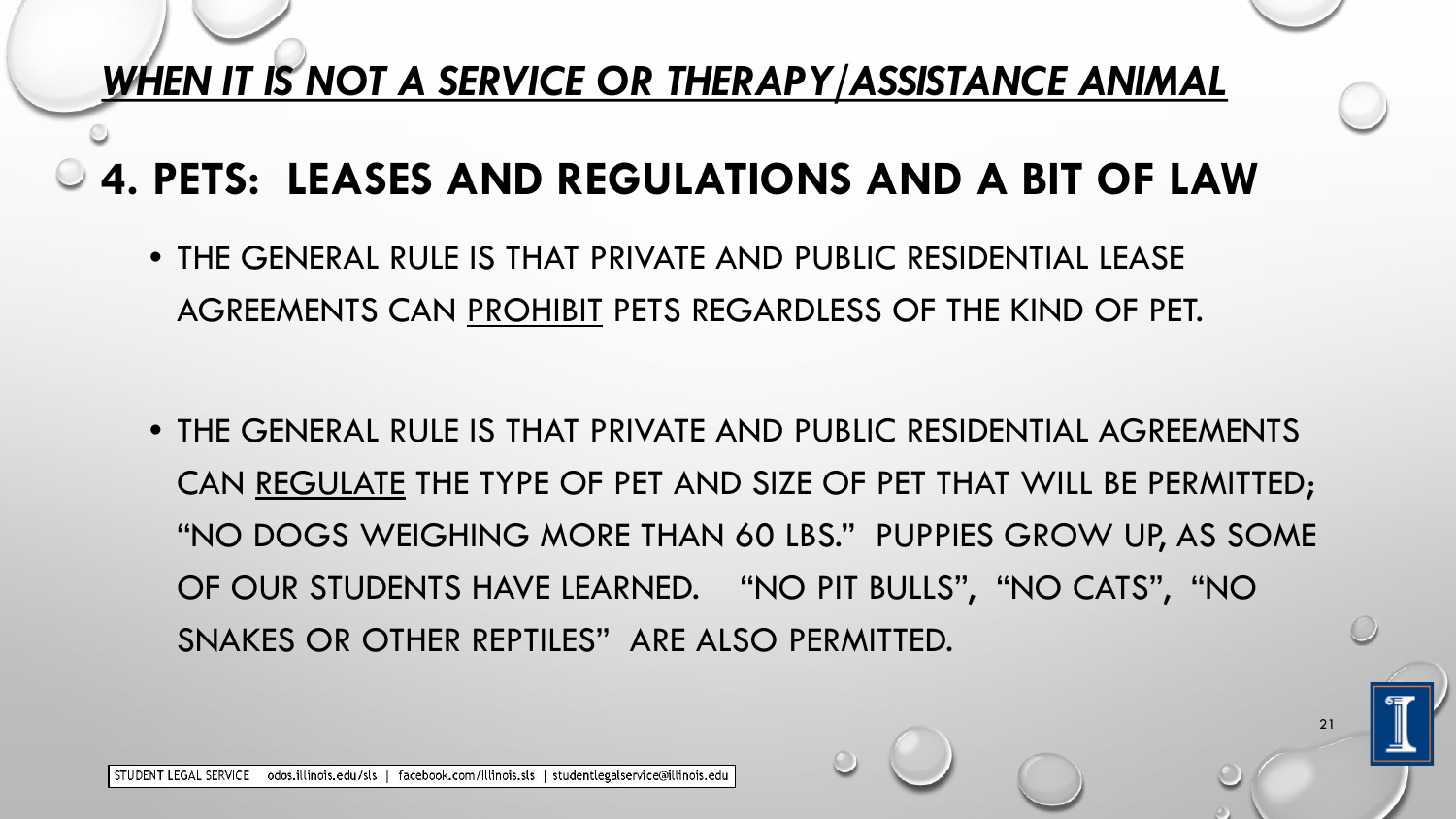### *WHEN IT IS NOT A SERVICE OR THERAPY/ASSISTANCE ANIMAL*

**4. PETS: LEASES AND REGULATIONS AND A BIT OF LAW**

• THE GENERAL RULE IS THAT PRIVATE AND PUBLIC RESIDENTIAL LEASE AGREEMENTS CAN PROHIBIT PETS REGARDLESS OF THE KIND OF PET.

• THE GENERAL RULE IS THAT PRIVATE AND PUBLIC RESIDENTIAL AGREEMENTS CAN REGULATE THE TYPE OF PET AND SIZE OF PET THAT WILL BE PERMITTED; "NO DOGS WEIGHING MORE THAN 60 LBS." PUPPIES GROW UP, AS SOME OF OUR STUDENTS HAVE LEARNED. "NO PIT BULLS", "NO CATS", "NO SNAKES OR OTHER REPTILES" ARE ALSO PERMITTED.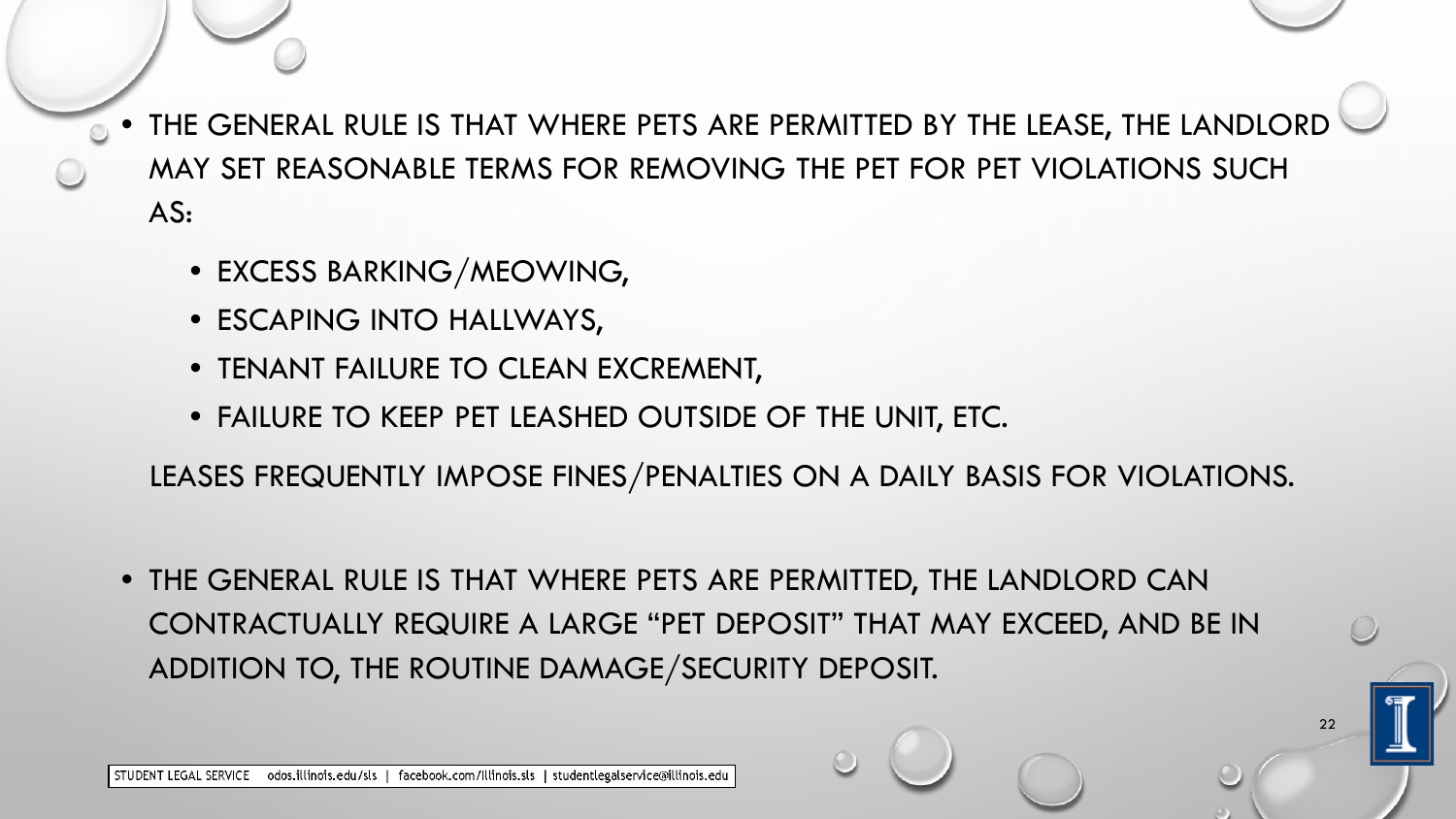- THE GENERAL RULE IS THAT WHERE PETS ARE PERMITTED BY THE LEASE, THE LANDLORD MAY SET REASONABLE TERMS FOR REMOVING THE PET FOR PET VIOLATIONS SUCH AS:
	- EXCESS BARKING/MEOWING,
	- ESCAPING INTO HALLWAYS,
	- TENANT FAILURE TO CLEAN EXCREMENT,
	- FAILURE TO KEEP PET LEASHED OUTSIDE OF THE UNIT, ETC.

LEASES FREQUENTLY IMPOSE FINES/PENALTIES ON A DAILY BASIS FOR VIOLATIONS.

• THE GENERAL RULE IS THAT WHERE PETS ARE PERMITTED, THE LANDLORD CAN CONTRACTUALLY REQUIRE A LARGE "PET DEPOSIT" THAT MAY EXCEED, AND BE IN ADDITION TO, THE ROUTINE DAMAGE/SECURITY DEPOSIT.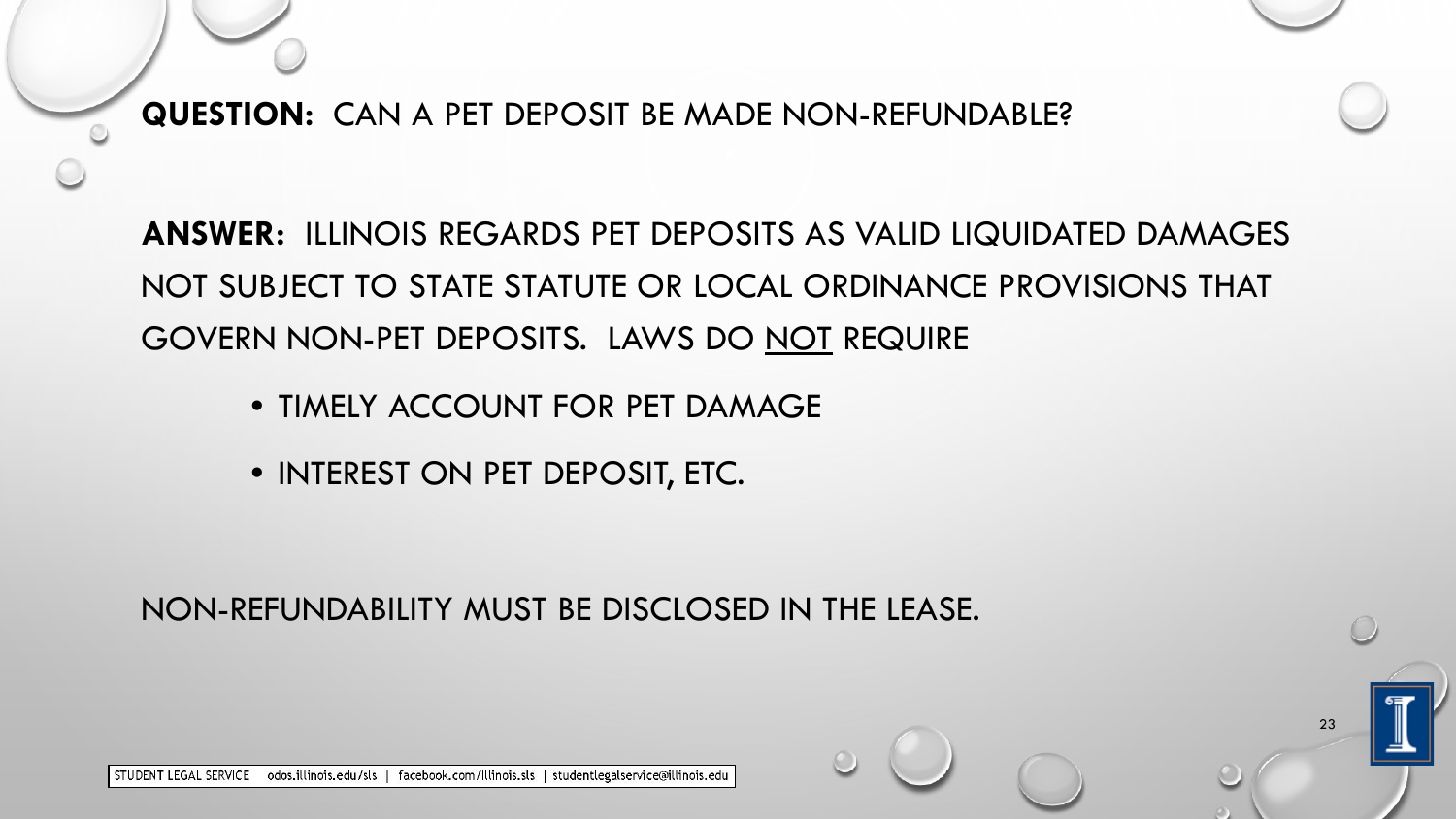**QUESTION:** CAN A PET DEPOSIT BE MADE NON-REFUNDABLE?

**ANSWER:** ILLINOIS REGARDS PET DEPOSITS AS VALID LIQUIDATED DAMAGES NOT SUBJECT TO STATE STATUTE OR LOCAL ORDINANCE PROVISIONS THAT GOVERN NON-PET DEPOSITS. LAWS DO NOT REQUIRE

23

- TIMELY ACCOUNT FOR PET DAMAGE
- INTEREST ON PET DEPOSIT, ETC.

NON-REFUNDABILITY MUST BE DISCLOSED IN THE LEASE.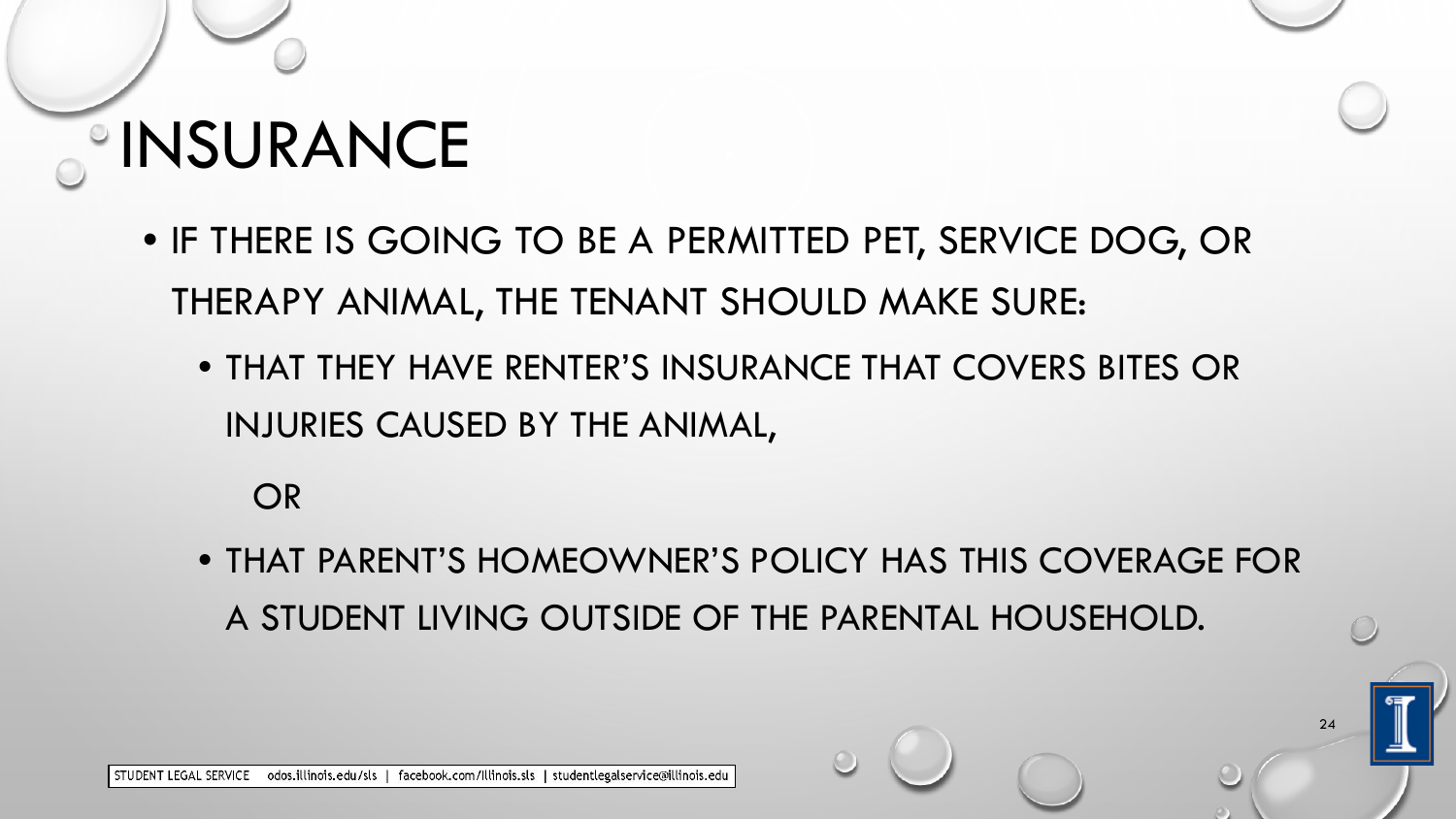# *INSURANCE*

- IF THERE IS GOING TO BE A PERMITTED PET, SERVICE DOG, OR THERAPY ANIMAL, THE TENANT SHOULD MAKE SURE:
	- THAT THEY HAVE RENTER'S INSURANCE THAT COVERS BITES OR INJURIES CAUSED BY THE ANIMAL,

OR

• THAT PARENT'S HOMEOWNER'S POLICY HAS THIS COVERAGE FOR A STUDENT LIVING OUTSIDE OF THE PARENTAL HOUSEHOLD.